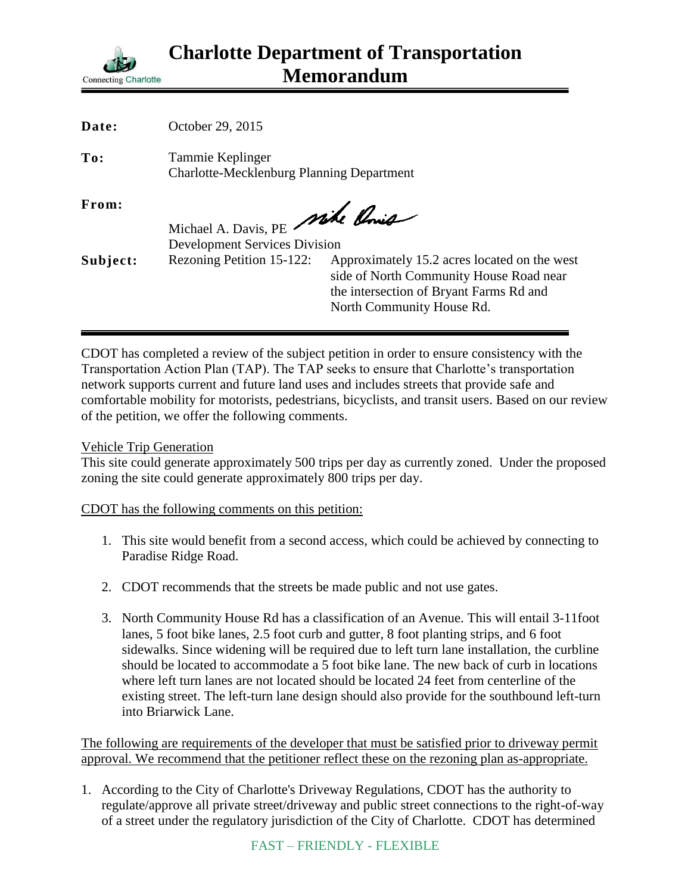

| Date:    | October 29, 2015                                                     |                                              |
|----------|----------------------------------------------------------------------|----------------------------------------------|
| To:      | Tammie Keplinger<br><b>Charlotte-Mecklenburg Planning Department</b> |                                              |
| From:    | Michael A. Davis, PE Mike Conic                                      |                                              |
|          |                                                                      |                                              |
|          | <b>Development Services Division</b>                                 |                                              |
| Subject: | Rezoning Petition 15-122:                                            | Approximately 15.2 acres located on the west |
|          |                                                                      | side of North Community House Road near      |
|          |                                                                      | the intersection of Bryant Farms Rd and      |
|          |                                                                      | North Community House Rd.                    |

CDOT has completed a review of the subject petition in order to ensure consistency with the Transportation Action Plan (TAP). The TAP seeks to ensure that Charlotte's transportation network supports current and future land uses and includes streets that provide safe and comfortable mobility for motorists, pedestrians, bicyclists, and transit users. Based on our review of the petition, we offer the following comments.

## Vehicle Trip Generation

This site could generate approximately 500 trips per day as currently zoned. Under the proposed zoning the site could generate approximately 800 trips per day.

## CDOT has the following comments on this petition:

- 1. This site would benefit from a second access, which could be achieved by connecting to Paradise Ridge Road.
- 2. CDOT recommends that the streets be made public and not use gates.
- 3. North Community House Rd has a classification of an Avenue. This will entail 3-11foot lanes, 5 foot bike lanes, 2.5 foot curb and gutter, 8 foot planting strips, and 6 foot sidewalks. Since widening will be required due to left turn lane installation, the curbline should be located to accommodate a 5 foot bike lane. The new back of curb in locations where left turn lanes are not located should be located 24 feet from centerline of the existing street. The left-turn lane design should also provide for the southbound left-turn into Briarwick Lane.

The following are requirements of the developer that must be satisfied prior to driveway permit approval. We recommend that the petitioner reflect these on the rezoning plan as-appropriate.

1. According to the City of Charlotte's Driveway Regulations, CDOT has the authority to regulate/approve all private street/driveway and public street connections to the right-of-way of a street under the regulatory jurisdiction of the City of Charlotte. CDOT has determined